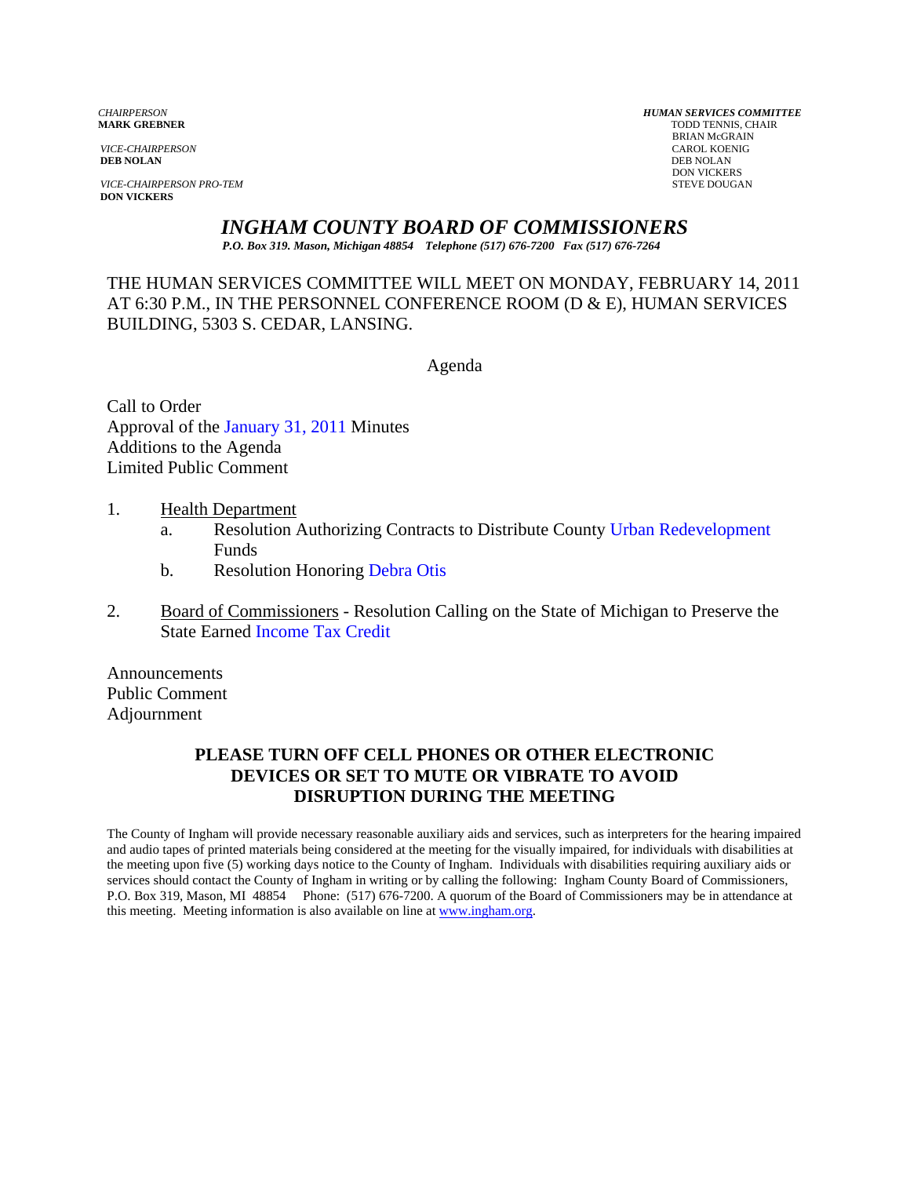*VICE-CHAIRPERSON* CAROL KOENIG CAROL KOENIG CAROL KOENIG CAROL KOENIG CAROL KOENIG CAROL KOENIG CAROL KOENIG CAROL KOENIG CAROL KOENIG KOENIG CAROL KOENIG CAROL KOENIG CAROL KOENIG CAROL KOENIG CAROL KOENIG CAROL KOENIG C **DEB NOLAN** DEB NOLAN

**VICE-CHAIRPERSON PRO-TEM** STEVE DOUGAN **DON VICKERS** 

*CHAIRPERSON HUMAN SERVICES COMMITTEE* **TODD TENNIS, CHAIR** BRIAN McGRAIN<br>CAROL KOENIG DON VICKERS

*INGHAM COUNTY BOARD OF COMMISSIONERS* 

*P.O. Box 319. Mason, Michigan 48854 Telephone (517) 676-7200 Fax (517) 676-7264*

THE HUMAN SERVICES COMMITTEE WILL MEET ON MONDAY, FEBRUARY 14, 2011 AT 6:30 P.M., IN THE PERSONNEL CONFERENCE ROOM (D & E), HUMAN SERVICES BUILDING, 5303 S. CEDAR, LANSING.

Agenda

Call to Order Approval of [the January 31, 2011 Minutes](#page-1-0)  Additions to the Agenda Limited Public Comment

- 1. Health Department
	- a. Resolution Authorizing Contracts to Distribute County [Urban Redevelopment](#page-6-0)  Funds
	- b. Resolution Honoring Debra Otis
- 2. Board of Commissioners Resolution Calling on the State of Michigan to Preserve the State Earn[ed Income Tax Credit](#page-9-0)

Announcements Public Comment Adjournment

# **PLEASE TURN OFF CELL PHONES OR OTHER ELECTRONIC DEVICES OR SET TO MUTE OR VIBRATE TO AVOID DISRUPTION DURING THE MEETING**

The County of Ingham will provide necessary reasonable auxiliary aids and services, such as interpreters for the hearing impaired and audio tapes of printed materials being considered at the meeting for the visually impaired, for individuals with disabilities at the meeting upon five (5) working days notice to the County of Ingham. Individuals with disabilities requiring auxiliary aids or services should contact the County of Ingham in writing or by calling the following: Ingham County Board of Commissioners, P.O. Box 319, Mason, MI 48854 Phone: (517) 676-7200. A quorum of the Board of Commissioners may be in attendance at this meeting. Meeting information is also available on line at www.ingham.org.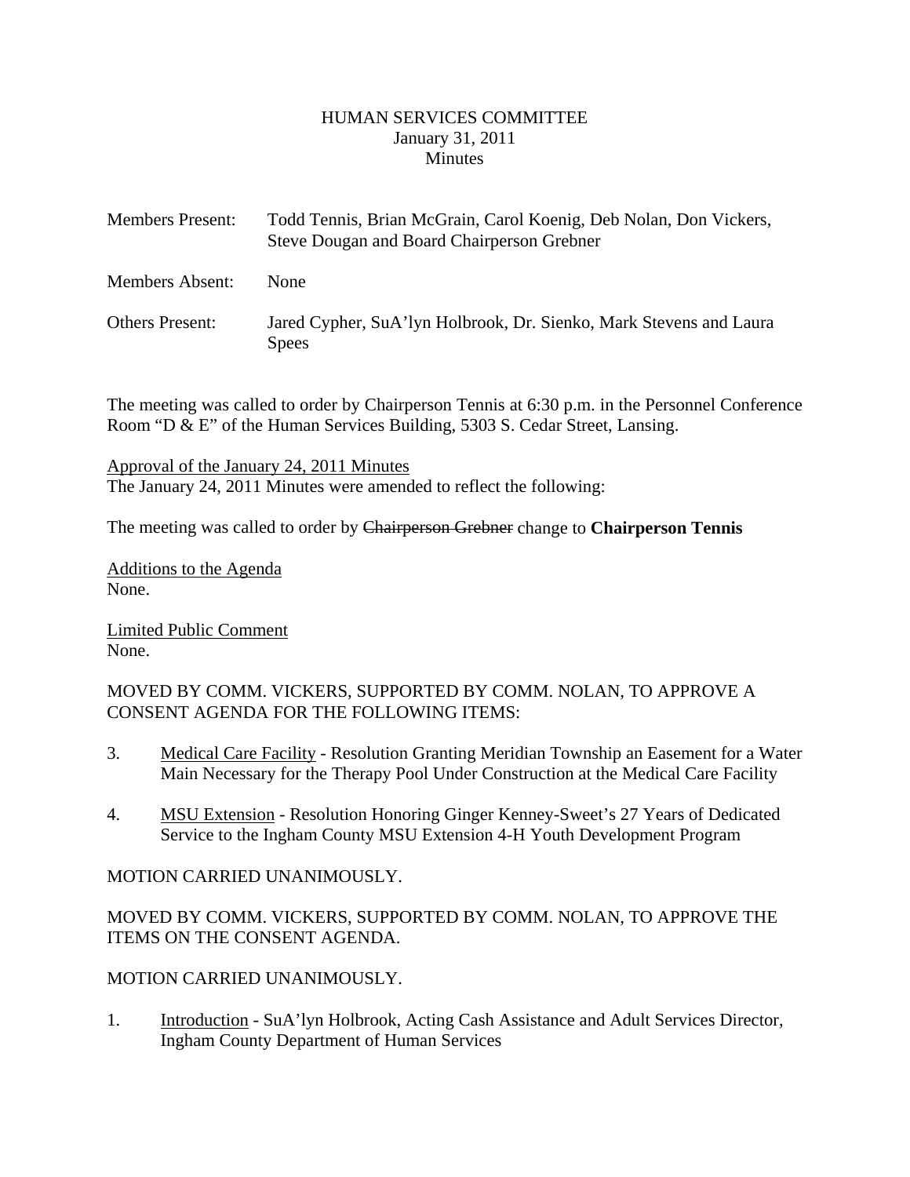#### HUMAN SERVICES COMMITTEE January 31, 2011 **Minutes**

<span id="page-1-0"></span>

| <b>Members Present:</b> | Todd Tennis, Brian McGrain, Carol Koenig, Deb Nolan, Don Vickers,<br>Steve Dougan and Board Chairperson Grebner |
|-------------------------|-----------------------------------------------------------------------------------------------------------------|
| Members Absent:         | <b>None</b>                                                                                                     |
| <b>Others Present:</b>  | Jared Cypher, SuA'lyn Holbrook, Dr. Sienko, Mark Stevens and Laura<br><b>Spees</b>                              |

The meeting was called to order by Chairperson Tennis at 6:30 p.m. in the Personnel Conference Room "D & E" of the Human Services Building, 5303 S. Cedar Street, Lansing.

Approval of the January 24, 2011 Minutes The January 24, 2011 Minutes were amended to reflect the following:

The meeting was called to order by Chairperson Grebner change to **Chairperson Tennis** 

Additions to the Agenda None.

Limited Public Comment None.

MOVED BY COMM. VICKERS, SUPPORTED BY COMM. NOLAN, TO APPROVE A CONSENT AGENDA FOR THE FOLLOWING ITEMS:

- 3. Medical Care Facility Resolution Granting Meridian Township an Easement for a Water Main Necessary for the Therapy Pool Under Construction at the Medical Care Facility
- 4. MSU Extension Resolution Honoring Ginger Kenney-Sweet's 27 Years of Dedicated Service to the Ingham County MSU Extension 4-H Youth Development Program

# MOTION CARRIED UNANIMOUSLY.

MOVED BY COMM. VICKERS, SUPPORTED BY COMM. NOLAN, TO APPROVE THE ITEMS ON THE CONSENT AGENDA.

#### MOTION CARRIED UNANIMOUSLY.

1. Introduction - SuA'lyn Holbrook, Acting Cash Assistance and Adult Services Director, Ingham County Department of Human Services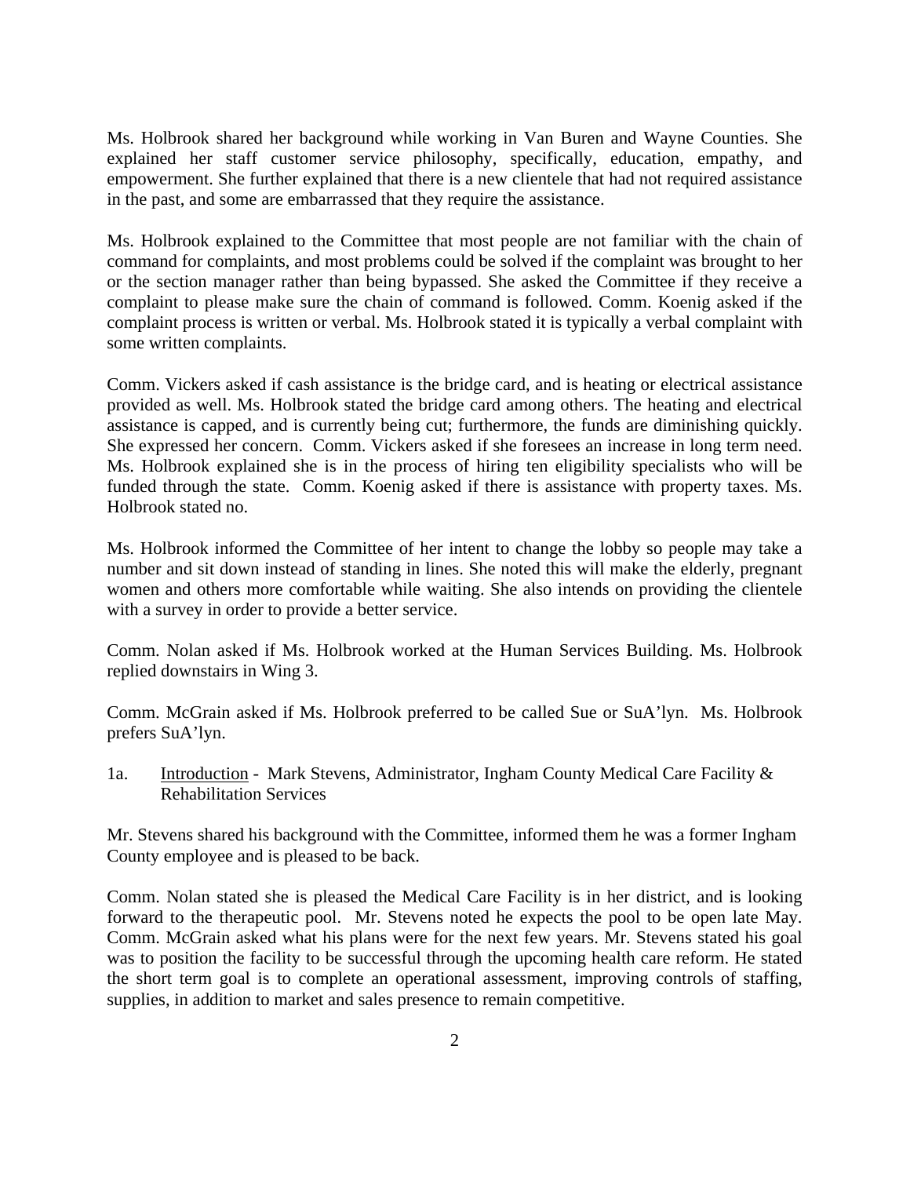Ms. Holbrook shared her background while working in Van Buren and Wayne Counties. She explained her staff customer service philosophy, specifically, education, empathy, and empowerment. She further explained that there is a new clientele that had not required assistance in the past, and some are embarrassed that they require the assistance.

Ms. Holbrook explained to the Committee that most people are not familiar with the chain of command for complaints, and most problems could be solved if the complaint was brought to her or the section manager rather than being bypassed. She asked the Committee if they receive a complaint to please make sure the chain of command is followed. Comm. Koenig asked if the complaint process is written or verbal. Ms. Holbrook stated it is typically a verbal complaint with some written complaints.

Comm. Vickers asked if cash assistance is the bridge card, and is heating or electrical assistance provided as well. Ms. Holbrook stated the bridge card among others. The heating and electrical assistance is capped, and is currently being cut; furthermore, the funds are diminishing quickly. She expressed her concern. Comm. Vickers asked if she foresees an increase in long term need. Ms. Holbrook explained she is in the process of hiring ten eligibility specialists who will be funded through the state. Comm. Koenig asked if there is assistance with property taxes. Ms. Holbrook stated no.

Ms. Holbrook informed the Committee of her intent to change the lobby so people may take a number and sit down instead of standing in lines. She noted this will make the elderly, pregnant women and others more comfortable while waiting. She also intends on providing the clientele with a survey in order to provide a better service.

Comm. Nolan asked if Ms. Holbrook worked at the Human Services Building. Ms. Holbrook replied downstairs in Wing 3.

Comm. McGrain asked if Ms. Holbrook preferred to be called Sue or SuA'lyn. Ms. Holbrook prefers SuA'lyn.

1a. Introduction - Mark Stevens, Administrator, Ingham County Medical Care Facility & Rehabilitation Services

Mr. Stevens shared his background with the Committee, informed them he was a former Ingham County employee and is pleased to be back.

Comm. Nolan stated she is pleased the Medical Care Facility is in her district, and is looking forward to the therapeutic pool. Mr. Stevens noted he expects the pool to be open late May. Comm. McGrain asked what his plans were for the next few years. Mr. Stevens stated his goal was to position the facility to be successful through the upcoming health care reform. He stated the short term goal is to complete an operational assessment, improving controls of staffing, supplies, in addition to market and sales presence to remain competitive.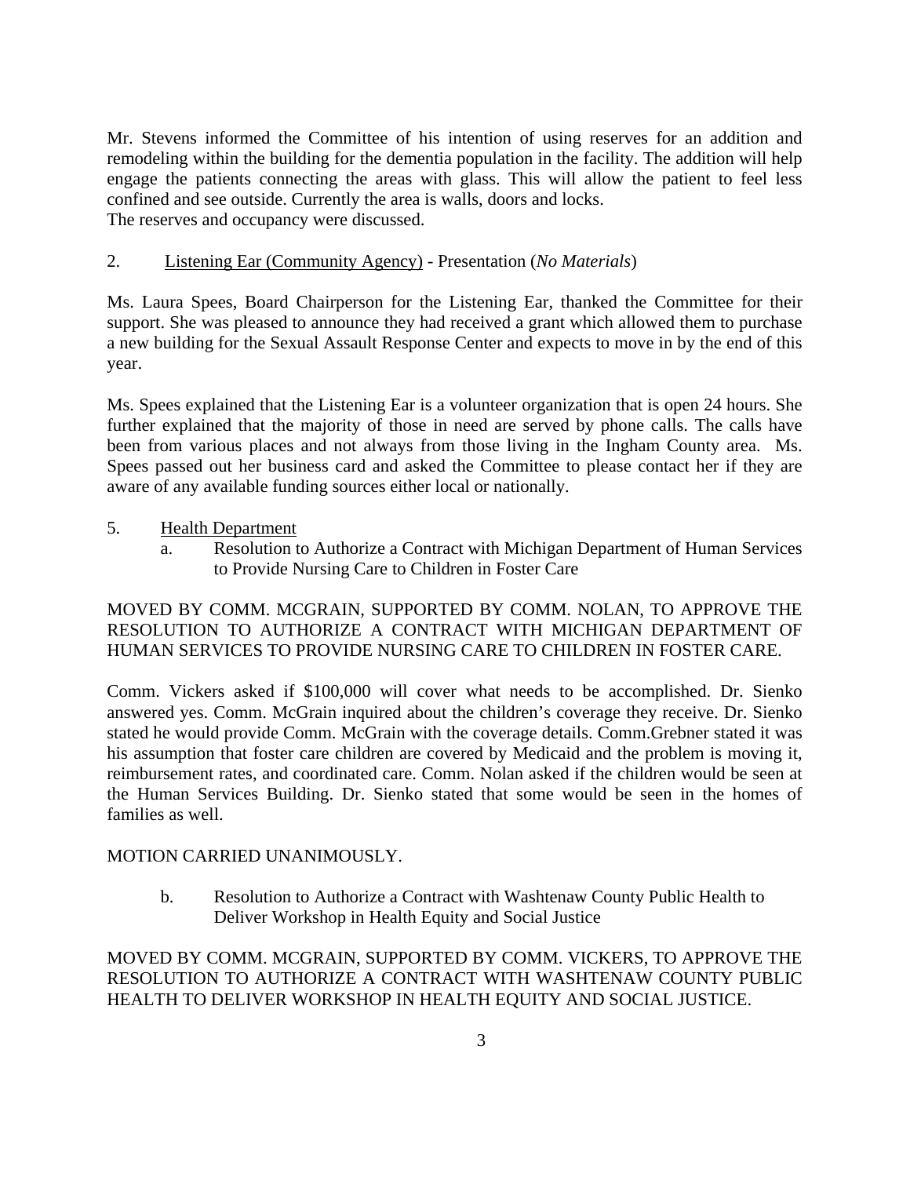Mr. Stevens informed the Committee of his intention of using reserves for an addition and remodeling within the building for the dementia population in the facility. The addition will help engage the patients connecting the areas with glass. This will allow the patient to feel less confined and see outside. Currently the area is walls, doors and locks. The reserves and occupancy were discussed.

## 2. Listening Ear (Community Agency) - Presentation (*No Materials*)

Ms. Laura Spees, Board Chairperson for the Listening Ear, thanked the Committee for their support. She was pleased to announce they had received a grant which allowed them to purchase a new building for the Sexual Assault Response Center and expects to move in by the end of this year.

Ms. Spees explained that the Listening Ear is a volunteer organization that is open 24 hours. She further explained that the majority of those in need are served by phone calls. The calls have been from various places and not always from those living in the Ingham County area. Ms. Spees passed out her business card and asked the Committee to please contact her if they are aware of any available funding sources either local or nationally.

#### 5. Health Department

a. Resolution to Authorize a Contract with Michigan Department of Human Services to Provide Nursing Care to Children in Foster Care

## MOVED BY COMM. MCGRAIN, SUPPORTED BY COMM. NOLAN, TO APPROVE THE RESOLUTION TO AUTHORIZE A CONTRACT WITH MICHIGAN DEPARTMENT OF HUMAN SERVICES TO PROVIDE NURSING CARE TO CHILDREN IN FOSTER CARE.

Comm. Vickers asked if \$100,000 will cover what needs to be accomplished. Dr. Sienko answered yes. Comm. McGrain inquired about the children's coverage they receive. Dr. Sienko stated he would provide Comm. McGrain with the coverage details. Comm.Grebner stated it was his assumption that foster care children are covered by Medicaid and the problem is moving it, reimbursement rates, and coordinated care. Comm. Nolan asked if the children would be seen at the Human Services Building. Dr. Sienko stated that some would be seen in the homes of families as well.

#### MOTION CARRIED UNANIMOUSLY.

b. Resolution to Authorize a Contract with Washtenaw County Public Health to Deliver Workshop in Health Equity and Social Justice

MOVED BY COMM. MCGRAIN, SUPPORTED BY COMM. VICKERS, TO APPROVE THE RESOLUTION TO AUTHORIZE A CONTRACT WITH WASHTENAW COUNTY PUBLIC HEALTH TO DELIVER WORKSHOP IN HEALTH EQUITY AND SOCIAL JUSTICE.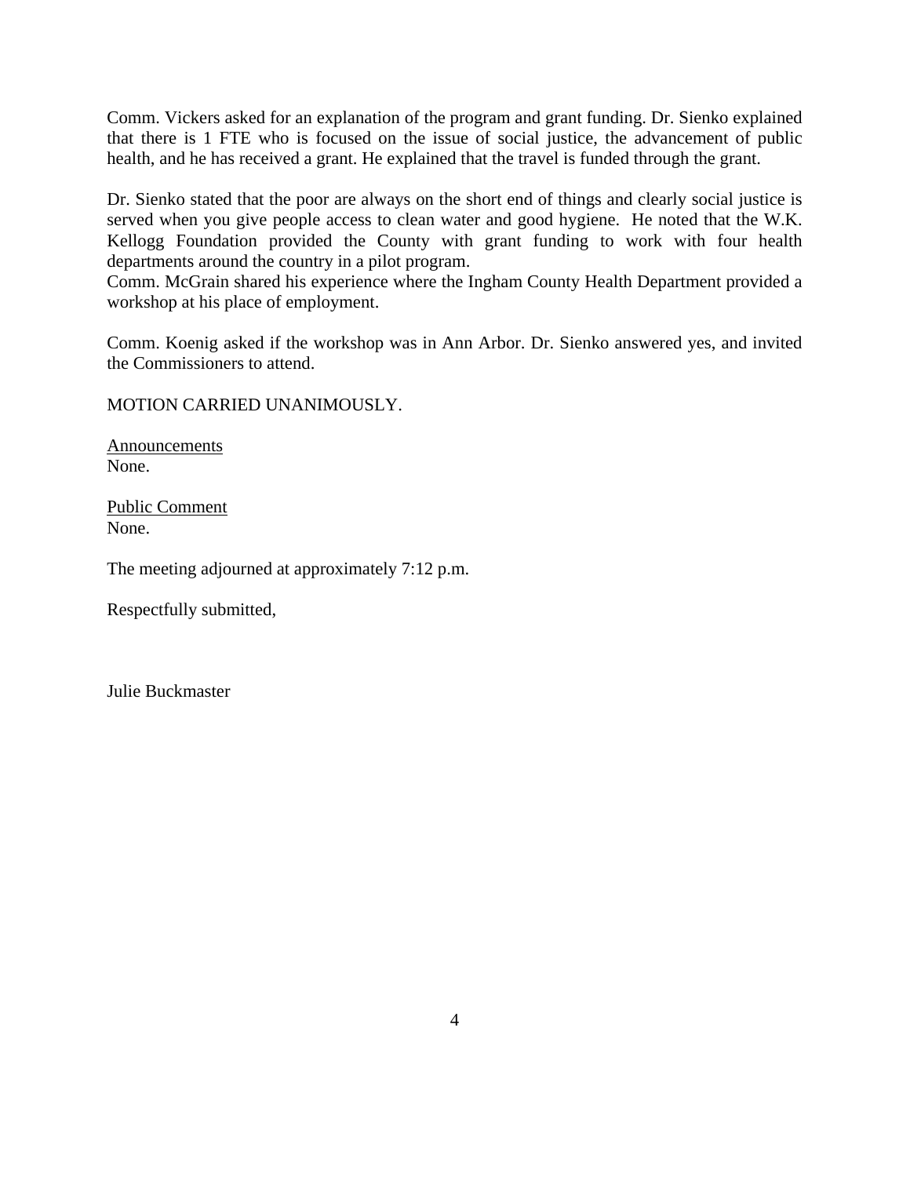Comm. Vickers asked for an explanation of the program and grant funding. Dr. Sienko explained that there is 1 FTE who is focused on the issue of social justice, the advancement of public health, and he has received a grant. He explained that the travel is funded through the grant.

Dr. Sienko stated that the poor are always on the short end of things and clearly social justice is served when you give people access to clean water and good hygiene. He noted that the W.K. Kellogg Foundation provided the County with grant funding to work with four health departments around the country in a pilot program.

Comm. McGrain shared his experience where the Ingham County Health Department provided a workshop at his place of employment.

Comm. Koenig asked if the workshop was in Ann Arbor. Dr. Sienko answered yes, and invited the Commissioners to attend.

MOTION CARRIED UNANIMOUSLY.

Announcements None.

Public Comment None.

The meeting adjourned at approximately 7:12 p.m.

Respectfully submitted,

Julie Buckmaster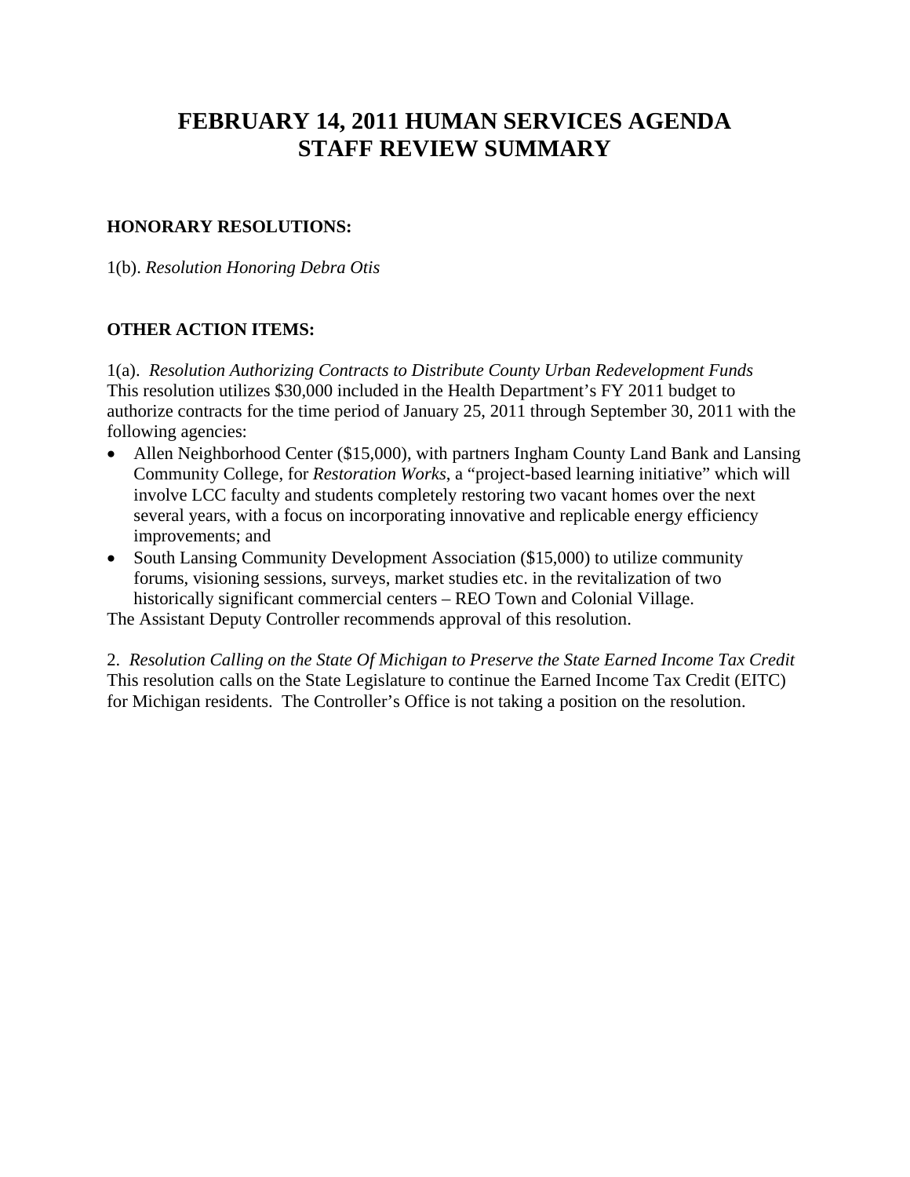# **FEBRUARY 14, 2011 HUMAN SERVICES AGENDA STAFF REVIEW SUMMARY**

## **HONORARY RESOLUTIONS:**

1(b). *Resolution Honoring Debra Otis*

## **OTHER ACTION ITEMS:**

1(a). *Resolution Authorizing Contracts to Distribute County Urban Redevelopment Funds* This resolution utilizes \$30,000 included in the Health Department's FY 2011 budget to authorize contracts for the time period of January 25, 2011 through September 30, 2011 with the following agencies:

- Allen Neighborhood Center (\$15,000), with partners Ingham County Land Bank and Lansing Community College, for *Restoration Works*, a "project-based learning initiative" which will involve LCC faculty and students completely restoring two vacant homes over the next several years, with a focus on incorporating innovative and replicable energy efficiency improvements; and
- South Lansing Community Development Association (\$15,000) to utilize community forums, visioning sessions, surveys, market studies etc. in the revitalization of two historically significant commercial centers – REO Town and Colonial Village.

The Assistant Deputy Controller recommends approval of this resolution.

2. *Resolution Calling on the State Of Michigan to Preserve the State Earned Income Tax Credit* This resolution calls on the State Legislature to continue the Earned Income Tax Credit (EITC) for Michigan residents. The Controller's Office is not taking a position on the resolution.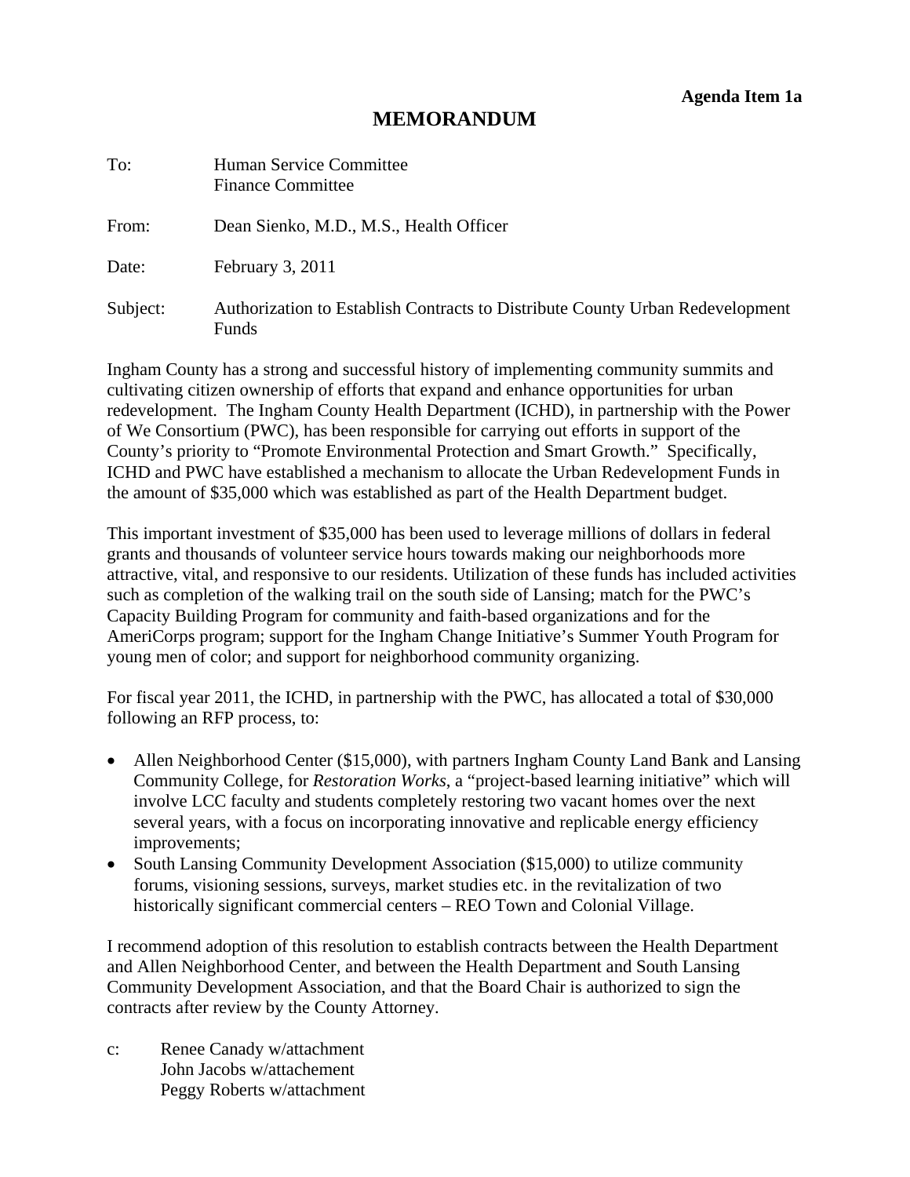# **MEMORANDUM**

<span id="page-6-0"></span>

| To:      | <b>Human Service Committee</b><br><b>Finance Committee</b>                             |
|----------|----------------------------------------------------------------------------------------|
| From:    | Dean Sienko, M.D., M.S., Health Officer                                                |
| Date:    | February 3, 2011                                                                       |
| Subject: | Authorization to Establish Contracts to Distribute County Urban Redevelopment<br>Funds |

Ingham County has a strong and successful history of implementing community summits and cultivating citizen ownership of efforts that expand and enhance opportunities for urban redevelopment. The Ingham County Health Department (ICHD), in partnership with the Power of We Consortium (PWC), has been responsible for carrying out efforts in support of the County's priority to "Promote Environmental Protection and Smart Growth." Specifically, ICHD and PWC have established a mechanism to allocate the Urban Redevelopment Funds in the amount of \$35,000 which was established as part of the Health Department budget.

This important investment of \$35,000 has been used to leverage millions of dollars in federal grants and thousands of volunteer service hours towards making our neighborhoods more attractive, vital, and responsive to our residents. Utilization of these funds has included activities such as completion of the walking trail on the south side of Lansing; match for the PWC's Capacity Building Program for community and faith-based organizations and for the AmeriCorps program; support for the Ingham Change Initiative's Summer Youth Program for young men of color; and support for neighborhood community organizing.

For fiscal year 2011, the ICHD, in partnership with the PWC, has allocated a total of \$30,000 following an RFP process, to:

- Allen Neighborhood Center (\$15,000), with partners Ingham County Land Bank and Lansing Community College, for *Restoration Works*, a "project-based learning initiative" which will involve LCC faculty and students completely restoring two vacant homes over the next several years, with a focus on incorporating innovative and replicable energy efficiency improvements;
- South Lansing Community Development Association (\$15,000) to utilize community forums, visioning sessions, surveys, market studies etc. in the revitalization of two historically significant commercial centers – REO Town and Colonial Village.

I recommend adoption of this resolution to establish contracts between the Health Department and Allen Neighborhood Center, and between the Health Department and South Lansing Community Development Association, and that the Board Chair is authorized to sign the contracts after review by the County Attorney.

c: Renee Canady w/attachment John Jacobs w/attachement Peggy Roberts w/attachment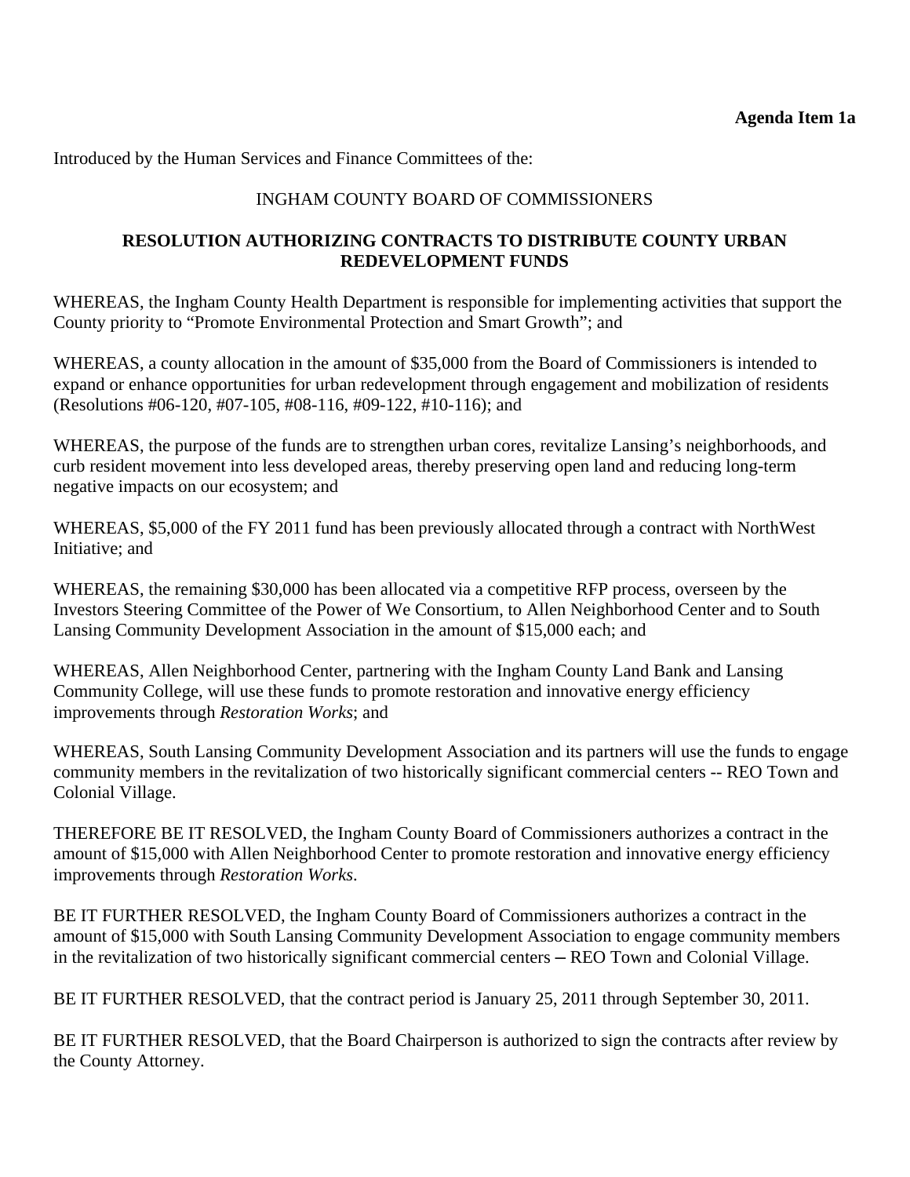Introduced by the Human Services and Finance Committees of the:

# INGHAM COUNTY BOARD OF COMMISSIONERS

## **RESOLUTION AUTHORIZING CONTRACTS TO DISTRIBUTE COUNTY URBAN REDEVELOPMENT FUNDS**

WHEREAS, the Ingham County Health Department is responsible for implementing activities that support the County priority to "Promote Environmental Protection and Smart Growth"; and

WHEREAS, a county allocation in the amount of \$35,000 from the Board of Commissioners is intended to expand or enhance opportunities for urban redevelopment through engagement and mobilization of residents (Resolutions #06-120, #07-105, #08-116, #09-122, #10-116); and

WHEREAS, the purpose of the funds are to strengthen urban cores, revitalize Lansing's neighborhoods, and curb resident movement into less developed areas, thereby preserving open land and reducing long-term negative impacts on our ecosystem; and

WHEREAS, \$5,000 of the FY 2011 fund has been previously allocated through a contract with NorthWest Initiative; and

WHEREAS, the remaining \$30,000 has been allocated via a competitive RFP process, overseen by the Investors Steering Committee of the Power of We Consortium, to Allen Neighborhood Center and to South Lansing Community Development Association in the amount of \$15,000 each; and

WHEREAS, Allen Neighborhood Center, partnering with the Ingham County Land Bank and Lansing Community College, will use these funds to promote restoration and innovative energy efficiency improvements through *Restoration Works*; and

WHEREAS, South Lansing Community Development Association and its partners will use the funds to engage community members in the revitalization of two historically significant commercial centers -- REO Town and Colonial Village.

THEREFORE BE IT RESOLVED, the Ingham County Board of Commissioners authorizes a contract in the amount of \$15,000 with Allen Neighborhood Center to promote restoration and innovative energy efficiency improvements through *Restoration Works*.

BE IT FURTHER RESOLVED, the Ingham County Board of Commissioners authorizes a contract in the amount of \$15,000 with South Lansing Community Development Association to engage community members in the revitalization of two historically significant commercial centers — REO Town and Colonial Village.

BE IT FURTHER RESOLVED, that the contract period is January 25, 2011 through September 30, 2011.

BE IT FURTHER RESOLVED, that the Board Chairperson is authorized to sign the contracts after review by the County Attorney.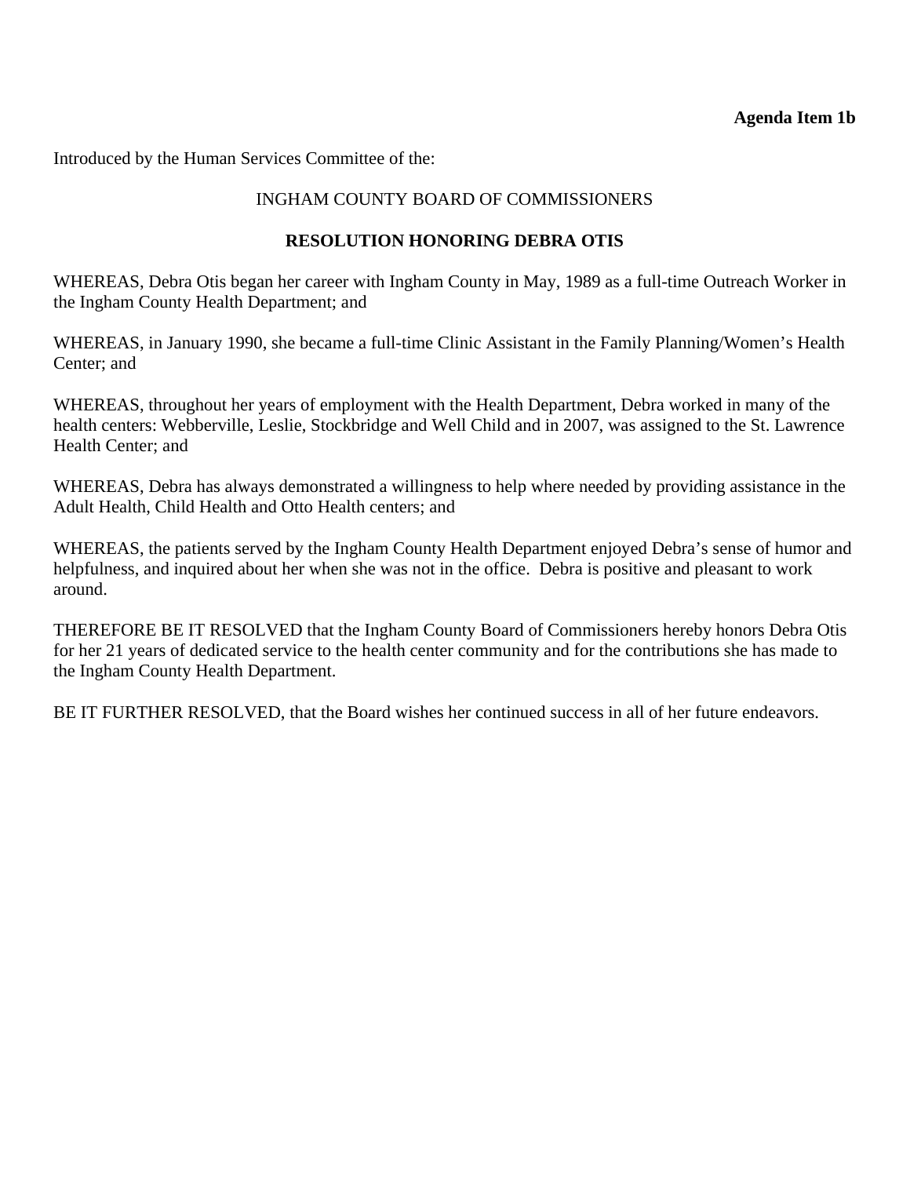## **Agenda Item 1b**

<span id="page-8-0"></span>Introduced by the Human Services Committee of the:

# INGHAM COUNTY BOARD OF COMMISSIONERS

# **RESOLUTION HONORING DEBRA OTIS**

WHEREAS, Debra Otis began her career with Ingham County in May, 1989 as a full-time Outreach Worker in the Ingham County Health Department; and

WHEREAS, in January 1990, she became a full-time Clinic Assistant in the Family Planning/Women's Health Center; and

WHEREAS, throughout her years of employment with the Health Department, Debra worked in many of the health centers: Webberville, Leslie, Stockbridge and Well Child and in 2007, was assigned to the St. Lawrence Health Center; and

WHEREAS, Debra has always demonstrated a willingness to help where needed by providing assistance in the Adult Health, Child Health and Otto Health centers; and

WHEREAS, the patients served by the Ingham County Health Department enjoyed Debra's sense of humor and helpfulness, and inquired about her when she was not in the office. Debra is positive and pleasant to work around.

THEREFORE BE IT RESOLVED that the Ingham County Board of Commissioners hereby honors Debra Otis for her 21 years of dedicated service to the health center community and for the contributions she has made to the Ingham County Health Department.

BE IT FURTHER RESOLVED, that the Board wishes her continued success in all of her future endeavors.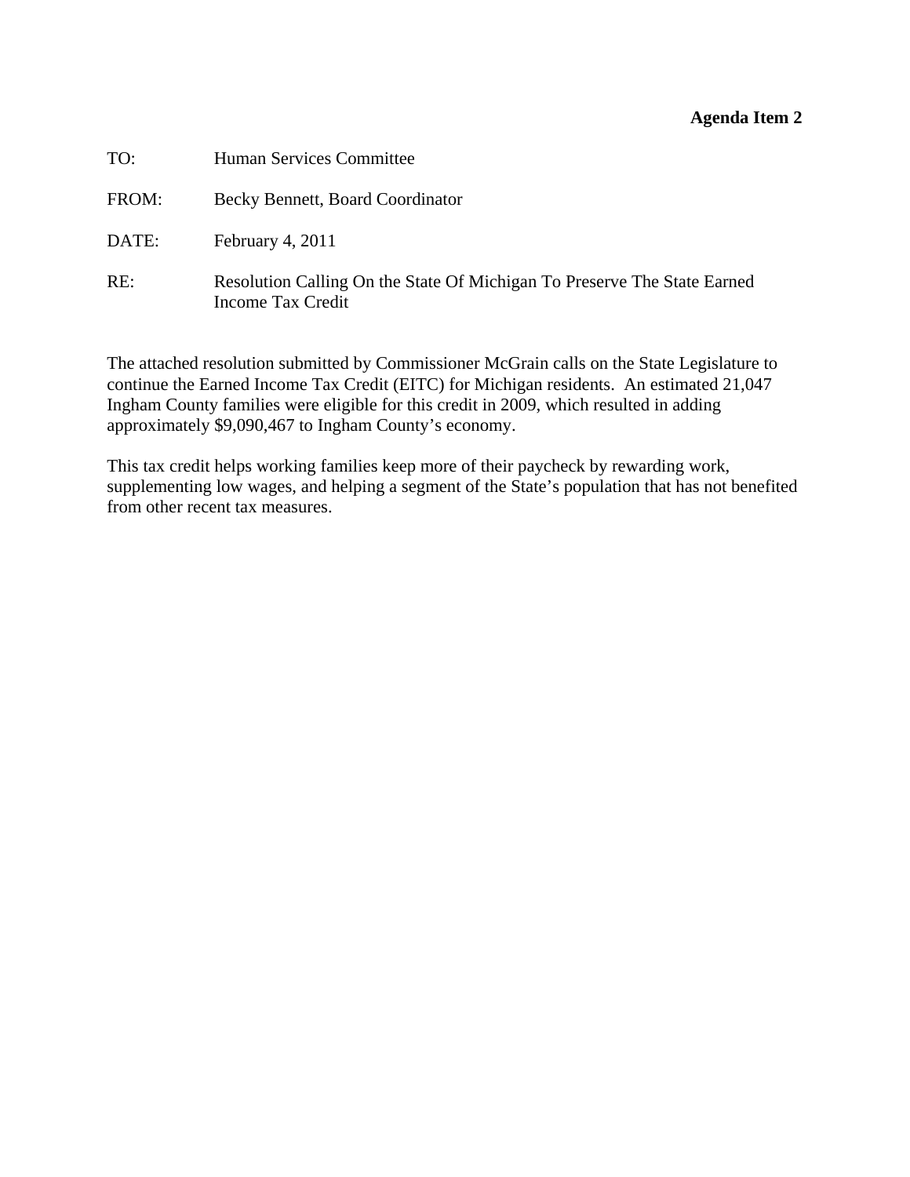#### **Agenda Item 2**

<span id="page-9-0"></span>

| TO:   | Human Services Committee                                                                      |
|-------|-----------------------------------------------------------------------------------------------|
| FROM: | Becky Bennett, Board Coordinator                                                              |
| DATE: | February 4, 2011                                                                              |
| RE:   | Resolution Calling On the State Of Michigan To Preserve The State Earned<br>Income Tax Credit |

The attached resolution submitted by Commissioner McGrain calls on the State Legislature to continue the Earned Income Tax Credit (EITC) for Michigan residents. An estimated 21,047 Ingham County families were eligible for this credit in 2009, which resulted in adding approximately \$9,090,467 to Ingham County's economy.

This tax credit helps working families keep more of their paycheck by rewarding work, supplementing low wages, and helping a segment of the State's population that has not benefited from other recent tax measures.